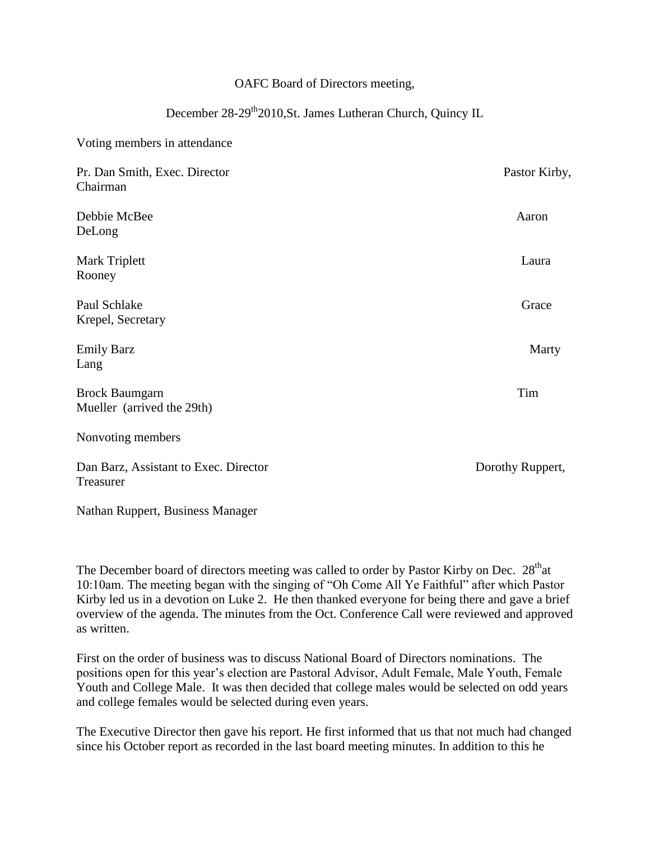## OAFC Board of Directors meeting,

## December 28-29<sup>th</sup>2010,St. James Lutheran Church, Quincy IL

Voting members in attendance

| Pr. Dan Smith, Exec. Director<br>Chairman           | Pastor Kirby,    |
|-----------------------------------------------------|------------------|
| Debbie McBee<br>DeLong                              | Aaron            |
| Mark Triplett<br>Rooney                             | Laura            |
| Paul Schlake<br>Krepel, Secretary                   | Grace            |
| <b>Emily Barz</b><br>Lang                           | Marty            |
| <b>Brock Baumgarn</b><br>Mueller (arrived the 29th) | Tim              |
| Nonvoting members                                   |                  |
| Dan Barz, Assistant to Exec. Director<br>Treasurer  | Dorothy Ruppert, |

Nathan Ruppert, Business Manager

The December board of directors meeting was called to order by Pastor Kirby on Dec. 28<sup>th</sup>at 10:10am. The meeting began with the singing of "Oh Come All Ye Faithful" after which Pastor Kirby led us in a devotion on Luke 2. He then thanked everyone for being there and gave a brief overview of the agenda. The minutes from the Oct. Conference Call were reviewed and approved as written.

First on the order of business was to discuss National Board of Directors nominations. The positions open for this year's election are Pastoral Advisor, Adult Female, Male Youth, Female Youth and College Male. It was then decided that college males would be selected on odd years and college females would be selected during even years.

The Executive Director then gave his report. He first informed that us that not much had changed since his October report as recorded in the last board meeting minutes. In addition to this he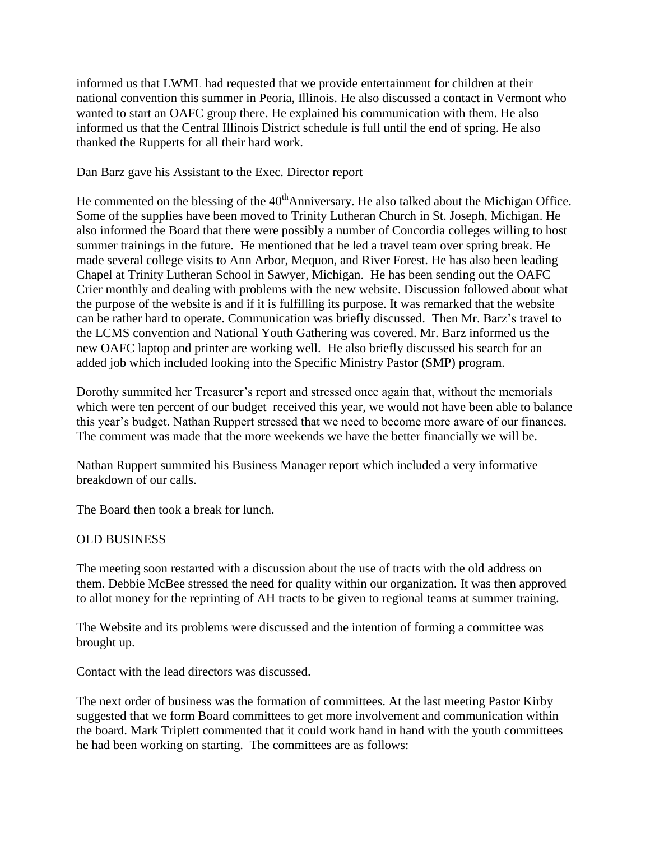informed us that LWML had requested that we provide entertainment for children at their national convention this summer in Peoria, Illinois. He also discussed a contact in Vermont who wanted to start an OAFC group there. He explained his communication with them. He also informed us that the Central Illinois District schedule is full until the end of spring. He also thanked the Rupperts for all their hard work.

Dan Barz gave his Assistant to the Exec. Director report

He commented on the blessing of the  $40<sup>th</sup>$ Anniversary. He also talked about the Michigan Office. Some of the supplies have been moved to Trinity Lutheran Church in St. Joseph, Michigan. He also informed the Board that there were possibly a number of Concordia colleges willing to host summer trainings in the future. He mentioned that he led a travel team over spring break. He made several college visits to Ann Arbor, Mequon, and River Forest. He has also been leading Chapel at Trinity Lutheran School in Sawyer, Michigan. He has been sending out the OAFC Crier monthly and dealing with problems with the new website. Discussion followed about what the purpose of the website is and if it is fulfilling its purpose. It was remarked that the website can be rather hard to operate. Communication was briefly discussed. Then Mr. Barz's travel to the LCMS convention and National Youth Gathering was covered. Mr. Barz informed us the new OAFC laptop and printer are working well. He also briefly discussed his search for an added job which included looking into the Specific Ministry Pastor (SMP) program.

Dorothy summited her Treasurer's report and stressed once again that, without the memorials which were ten percent of our budget received this year, we would not have been able to balance this year's budget. Nathan Ruppert stressed that we need to become more aware of our finances. The comment was made that the more weekends we have the better financially we will be.

Nathan Ruppert summited his Business Manager report which included a very informative breakdown of our calls.

The Board then took a break for lunch.

## OLD BUSINESS

The meeting soon restarted with a discussion about the use of tracts with the old address on them. Debbie McBee stressed the need for quality within our organization. It was then approved to allot money for the reprinting of AH tracts to be given to regional teams at summer training.

The Website and its problems were discussed and the intention of forming a committee was brought up.

Contact with the lead directors was discussed.

The next order of business was the formation of committees. At the last meeting Pastor Kirby suggested that we form Board committees to get more involvement and communication within the board. Mark Triplett commented that it could work hand in hand with the youth committees he had been working on starting. The committees are as follows: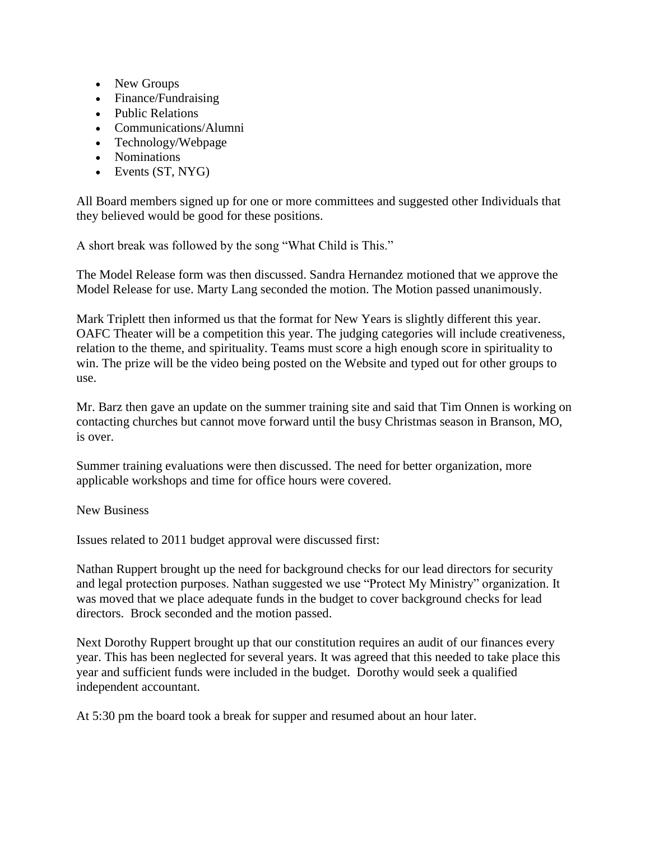- New Groups
- Finance/Fundraising
- Public Relations
- Communications/Alumni
- Technology/Webpage
- Nominations
- $\bullet$  Events (ST, NYG)

All Board members signed up for one or more committees and suggested other Individuals that they believed would be good for these positions.

A short break was followed by the song "What Child is This."

The Model Release form was then discussed. Sandra Hernandez motioned that we approve the Model Release for use. Marty Lang seconded the motion. The Motion passed unanimously.

Mark Triplett then informed us that the format for New Years is slightly different this year. OAFC Theater will be a competition this year. The judging categories will include creativeness, relation to the theme, and spirituality. Teams must score a high enough score in spirituality to win. The prize will be the video being posted on the Website and typed out for other groups to use.

Mr. Barz then gave an update on the summer training site and said that Tim Onnen is working on contacting churches but cannot move forward until the busy Christmas season in Branson, MO, is over.

Summer training evaluations were then discussed. The need for better organization, more applicable workshops and time for office hours were covered.

## New Business

Issues related to 2011 budget approval were discussed first:

Nathan Ruppert brought up the need for background checks for our lead directors for security and legal protection purposes. Nathan suggested we use "Protect My Ministry" organization. It was moved that we place adequate funds in the budget to cover background checks for lead directors. Brock seconded and the motion passed.

Next Dorothy Ruppert brought up that our constitution requires an audit of our finances every year. This has been neglected for several years. It was agreed that this needed to take place this year and sufficient funds were included in the budget. Dorothy would seek a qualified independent accountant.

At 5:30 pm the board took a break for supper and resumed about an hour later.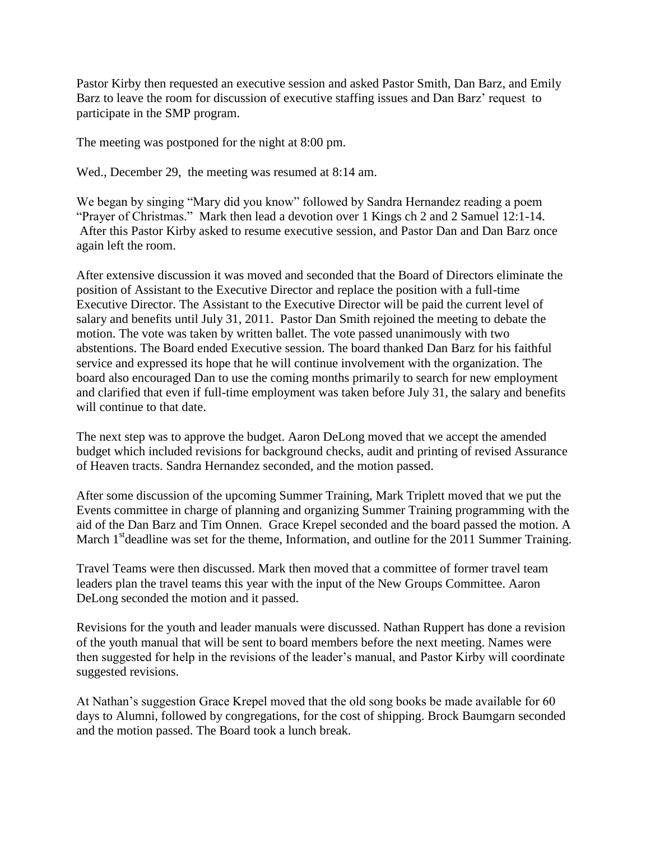Pastor Kirby then requested an executive session and asked Pastor Smith, Dan Barz, and Emily Barz to leave the room for discussion of executive staffing issues and Dan Barz' request to participate in the SMP program.

The meeting was postponed for the night at 8:00 pm.

Wed., December 29, the meeting was resumed at 8:14 am.

We began by singing "Mary did you know" followed by Sandra Hernandez reading a poem "Prayer of Christmas." Mark then lead a devotion over 1 Kings ch 2 and 2 Samuel 12:1-14. After this Pastor Kirby asked to resume executive session, and Pastor Dan and Dan Barz once again left the room.

After extensive discussion it was moved and seconded that the Board of Directors eliminate the position of Assistant to the Executive Director and replace the position with a full-time Executive Director. The Assistant to the Executive Director will be paid the current level of salary and benefits until July 31, 2011. Pastor Dan Smith rejoined the meeting to debate the motion. The vote was taken by written ballet. The vote passed unanimously with two abstentions. The Board ended Executive session. The board thanked Dan Barz for his faithful service and expressed its hope that he will continue involvement with the organization. The board also encouraged Dan to use the coming months primarily to search for new employment and clarified that even if full-time employment was taken before July 31, the salary and benefits will continue to that date.

The next step was to approve the budget. Aaron DeLong moved that we accept the amended budget which included revisions for background checks, audit and printing of revised Assurance of Heaven tracts. Sandra Hernandez seconded, and the motion passed.

After some discussion of the upcoming Summer Training, Mark Triplett moved that we put the Events committee in charge of planning and organizing Summer Training programming with the aid of the Dan Barz and Tim Onnen. Grace Krepel seconded and the board passed the motion. A March  $1<sup>st</sup>$  deadline was set for the theme, Information, and outline for the 2011 Summer Training.

Travel Teams were then discussed. Mark then moved that a committee of former travel team leaders plan the travel teams this year with the input of the New Groups Committee. Aaron DeLong seconded the motion and it passed.

Revisions for the youth and leader manuals were discussed. Nathan Ruppert has done a revision of the youth manual that will be sent to board members before the next meeting. Names were then suggested for help in the revisions of the leader's manual, and Pastor Kirby will coordinate suggested revisions.

At Nathan's suggestion Grace Krepel moved that the old song books be made available for 60 days to Alumni, followed by congregations, for the cost of shipping. Brock Baumgarn seconded and the motion passed. The Board took a lunch break.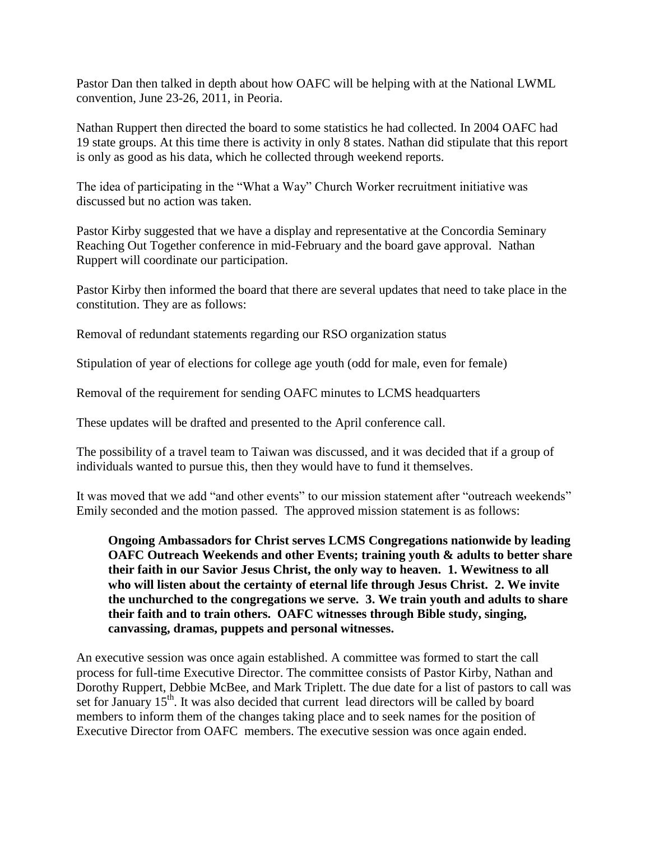Pastor Dan then talked in depth about how OAFC will be helping with at the National LWML convention, June 23-26, 2011, in Peoria.

Nathan Ruppert then directed the board to some statistics he had collected. In 2004 OAFC had 19 state groups. At this time there is activity in only 8 states. Nathan did stipulate that this report is only as good as his data, which he collected through weekend reports.

The idea of participating in the "What a Way" Church Worker recruitment initiative was discussed but no action was taken.

Pastor Kirby suggested that we have a display and representative at the Concordia Seminary Reaching Out Together conference in mid-February and the board gave approval. Nathan Ruppert will coordinate our participation.

Pastor Kirby then informed the board that there are several updates that need to take place in the constitution. They are as follows:

Removal of redundant statements regarding our RSO organization status

Stipulation of year of elections for college age youth (odd for male, even for female)

Removal of the requirement for sending OAFC minutes to LCMS headquarters

These updates will be drafted and presented to the April conference call.

The possibility of a travel team to Taiwan was discussed, and it was decided that if a group of individuals wanted to pursue this, then they would have to fund it themselves.

It was moved that we add "and other events" to our mission statement after "outreach weekends" Emily seconded and the motion passed. The approved mission statement is as follows:

**Ongoing Ambassadors for Christ serves LCMS Congregations nationwide by leading OAFC Outreach Weekends and other Events; training youth & adults to better share their faith in our Savior Jesus Christ, the only way to heaven. 1. Wewitness to all who will listen about the certainty of eternal life through Jesus Christ. 2. We invite the unchurched to the congregations we serve. 3. We train youth and adults to share their faith and to train others. OAFC witnesses through Bible study, singing, canvassing, dramas, puppets and personal witnesses.**

An executive session was once again established. A committee was formed to start the call process for full-time Executive Director. The committee consists of Pastor Kirby, Nathan and Dorothy Ruppert, Debbie McBee, and Mark Triplett. The due date for a list of pastors to call was set for January 15<sup>th</sup>. It was also decided that current lead directors will be called by board members to inform them of the changes taking place and to seek names for the position of Executive Director from OAFC members. The executive session was once again ended.